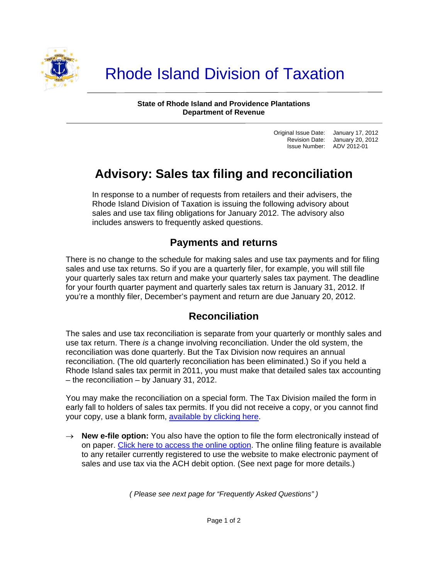

**State of Rhode Island and Providence Plantations Department of Revenue** 

> Original Issue Date: January 17, 2012 Revision Date: January 20, 2012 Issue Number: ADV 2012-01

# **Advisory: Sales tax filing and reconciliation**

In response to a number of requests from retailers and their advisers, the Rhode Island Division of Taxation is issuing the following advisory about sales and use tax filing obligations for January 2012. The advisory also includes answers to frequently asked questions.

### **Payments and returns**

There is no change to the schedule for making sales and use tax payments and for filing sales and use tax returns. So if you are a quarterly filer, for example, you will still file your quarterly sales tax return and make your quarterly sales tax payment. The deadline for your fourth quarter payment and quarterly sales tax return is January 31, 2012. If you're a monthly filer, December's payment and return are due January 20, 2012.

## **Reconciliation**

The sales and use tax reconciliation is separate from your quarterly or monthly sales and use tax return. There *is* a change involving reconciliation. Under the old system, the reconciliation was done quarterly. But the Tax Division now requires an annual reconciliation. (The old quarterly reconciliation has been eliminated.) So if you held a Rhode Island sales tax permit in 2011, you must make that detailed sales tax accounting – the reconciliation – by January 31, 2012.

You may make the reconciliation on a special form. The Tax Division mailed the form in early fall to holders of sales tax permits. If you did not receive a copy, or you cannot find your copy, use a blank form, [available by clicking here.](http://www.tax.ri.gov/forms/2011/Excise/SalesUse/Annual%20Reconciliation%20w%20Instr.pdf)

 $\rightarrow$  **New e-file option:** You also have the option to file the form electronically instead of on paper. [Click here to access the online option](https://www.ri.gov/taxation/business/index.php). The online filing feature is available to any retailer currently registered to use the website to make electronic payment of sales and use tax via the ACH debit option. (See next page for more details.)

*( Please see next page for "Frequently Asked Questions" )*